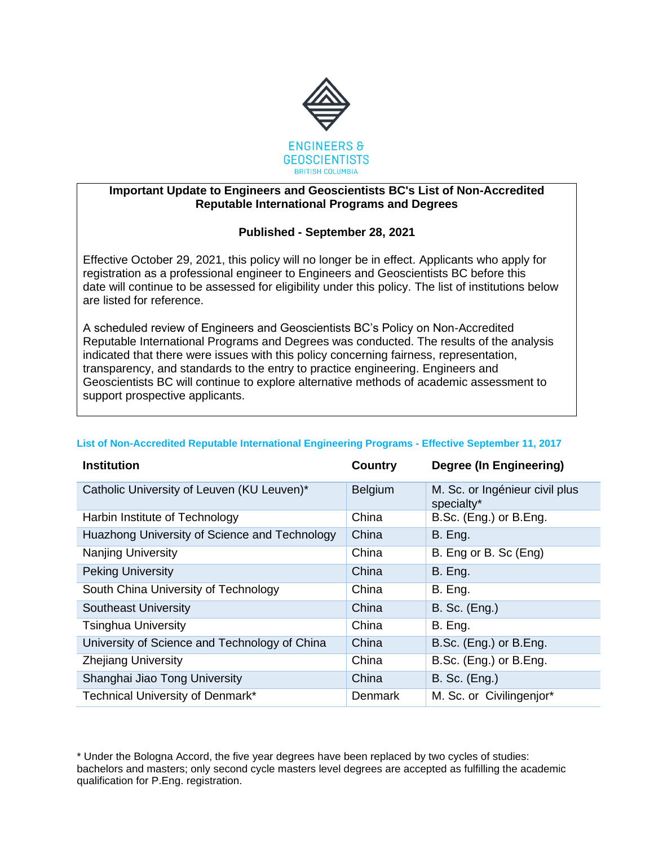

## **Important Update to Engineers and Geoscientists BC's List of Non-Accredited Reputable International Programs and Degrees**

## **Published - September 28, 2021**

Effective October 29, 2021, this policy will no longer be in effect. Applicants who apply for registration as a professional engineer to Engineers and Geoscientists BC before this date will continue to be assessed for eligibility under this policy. The list of institutions below are listed for reference.

A scheduled review of Engineers and Geoscientists BC's Policy on Non-Accredited Reputable International Programs and Degrees was conducted. The results of the analysis indicated that there were issues with this policy concerning fairness, representation, transparency, and standards to the entry to practice engineering. Engineers and Geoscientists BC will continue to explore alternative methods of academic assessment to support prospective applicants.

## **List of Non-Accredited Reputable International Engineering Programs - Effective September 11, 2017**

| <b>Institution</b>                            | <b>Country</b> | <b>Degree (In Engineering)</b>               |
|-----------------------------------------------|----------------|----------------------------------------------|
| Catholic University of Leuven (KU Leuven)*    | Belgium        | M. Sc. or Ingénieur civil plus<br>specialty* |
| Harbin Institute of Technology                | China          | B.Sc. (Eng.) or B.Eng.                       |
| Huazhong University of Science and Technology | China          | B. Eng.                                      |
| <b>Nanjing University</b>                     | China          | B. Eng or B. Sc (Eng)                        |
| <b>Peking University</b>                      | China          | B. Eng.                                      |
| South China University of Technology          | China          | B. Eng.                                      |
| <b>Southeast University</b>                   | China          | <b>B. Sc. (Eng.)</b>                         |
| <b>Tsinghua University</b>                    | China          | B. Eng.                                      |
| University of Science and Technology of China | China          | B.Sc. (Eng.) or B.Eng.                       |
| <b>Zhejiang University</b>                    | China          | B.Sc. (Eng.) or B.Eng.                       |
| Shanghai Jiao Tong University                 | China          | <b>B. Sc. (Eng.)</b>                         |
| Technical University of Denmark*              | <b>Denmark</b> | M. Sc. or Civilingenjor*                     |

\* Under the Bologna Accord, the five year degrees have been replaced by two cycles of studies: bachelors and masters; only second cycle masters level degrees are accepted as fulfilling the academic qualification for P.Eng. registration.